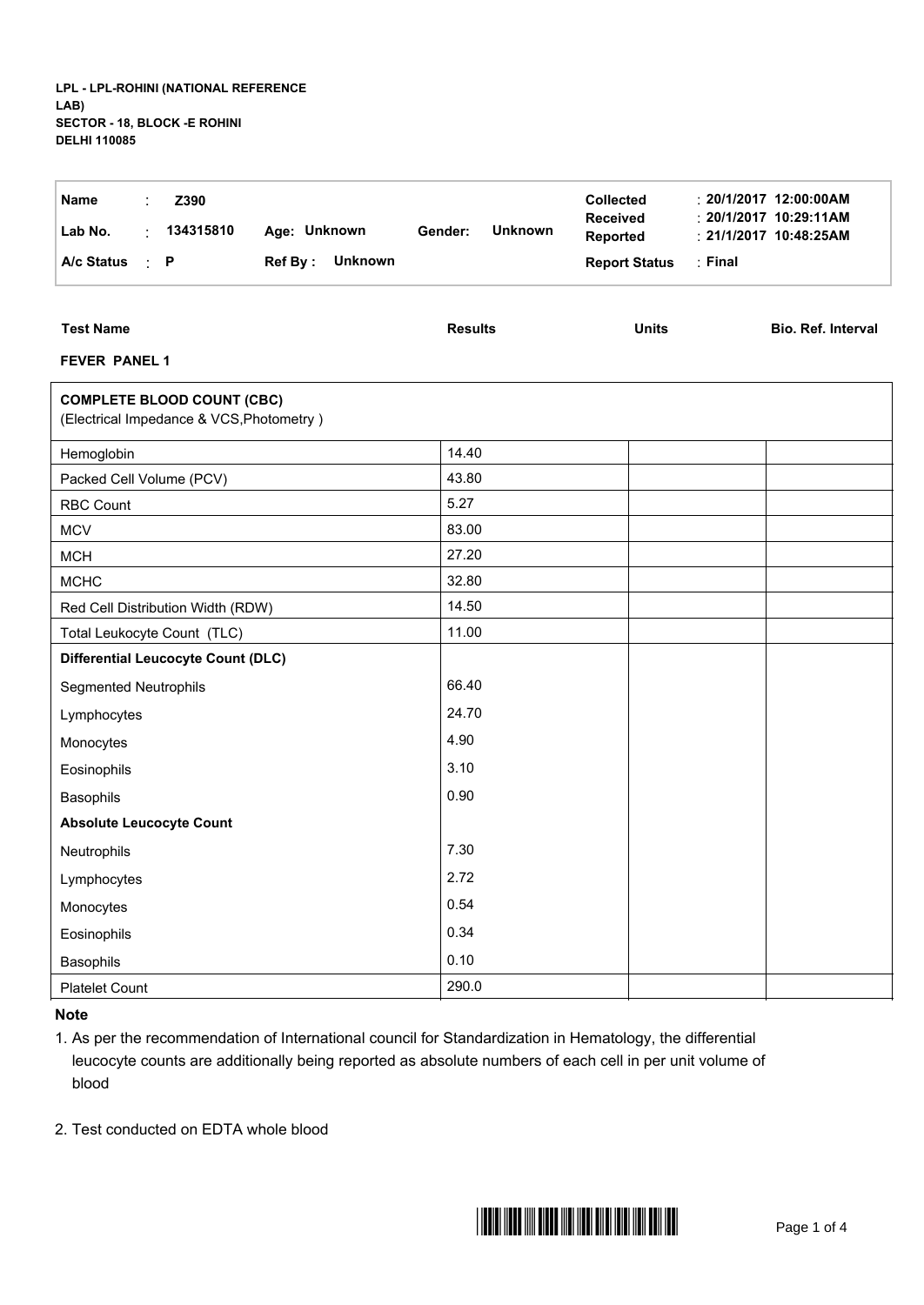| <b>Name</b><br>Z390<br>134315810<br>Age: Unknown<br>Lab No.<br>÷<br>Ref By: Unknown<br>A/c Status<br>$\therefore$ P | <b>Unknown</b><br>Gender: | <b>Collected</b><br>Received<br>Reported<br><b>Report Status</b><br>: Final | $: 20/1/2017$ 12:00:00AM<br>$: 20/1/2017$ 10:29:11AM<br>$: 21/1/2017$ 10:48:25AM |
|---------------------------------------------------------------------------------------------------------------------|---------------------------|-----------------------------------------------------------------------------|----------------------------------------------------------------------------------|
| <b>Test Name</b><br><b>FEVER PANEL 1</b>                                                                            | <b>Results</b>            | <b>Units</b>                                                                | Bio. Ref. Interval                                                               |
| <b>COMPLETE BLOOD COUNT (CBC)</b><br>(Electrical Impedance & VCS, Photometry)                                       |                           |                                                                             |                                                                                  |
| Hemoglobin                                                                                                          | 14.40                     |                                                                             |                                                                                  |
| Packed Cell Volume (PCV)                                                                                            | 43.80                     |                                                                             |                                                                                  |
| <b>RBC Count</b>                                                                                                    | 5.27                      |                                                                             |                                                                                  |
| <b>MCV</b>                                                                                                          | 83.00                     |                                                                             |                                                                                  |
| <b>MCH</b>                                                                                                          | 27.20                     |                                                                             |                                                                                  |
| <b>MCHC</b>                                                                                                         | 32.80                     |                                                                             |                                                                                  |
| Red Cell Distribution Width (RDW)                                                                                   | 14.50                     |                                                                             |                                                                                  |
| Total Leukocyte Count (TLC)                                                                                         | 11.00                     |                                                                             |                                                                                  |
| <b>Differential Leucocyte Count (DLC)</b>                                                                           |                           |                                                                             |                                                                                  |
| <b>Segmented Neutrophils</b>                                                                                        | 66.40                     |                                                                             |                                                                                  |
| Lymphocytes                                                                                                         | 24.70                     |                                                                             |                                                                                  |
| Monocytes                                                                                                           | 4.90                      |                                                                             |                                                                                  |
| Eosinophils                                                                                                         | 3.10                      |                                                                             |                                                                                  |
| Basophils                                                                                                           | 0.90                      |                                                                             |                                                                                  |
| <b>Absolute Leucocyte Count</b>                                                                                     |                           |                                                                             |                                                                                  |
| Neutrophils                                                                                                         | 7.30                      |                                                                             |                                                                                  |
| Lymphocytes                                                                                                         | 2.72                      |                                                                             |                                                                                  |
| Monocytes                                                                                                           | 0.54                      |                                                                             |                                                                                  |
| Eosinophils                                                                                                         | 0.34                      |                                                                             |                                                                                  |
| Basophils                                                                                                           | 0.10                      |                                                                             |                                                                                  |
| Platelet Count                                                                                                      | 290.0                     |                                                                             |                                                                                  |

**Note**

1. As per the recommendation of International council for Standardization in Hematology, the differential leucocyte counts are additionally being reported as absolute numbers of each cell in per unit volume of blood

2. Test conducted on EDTA whole blood

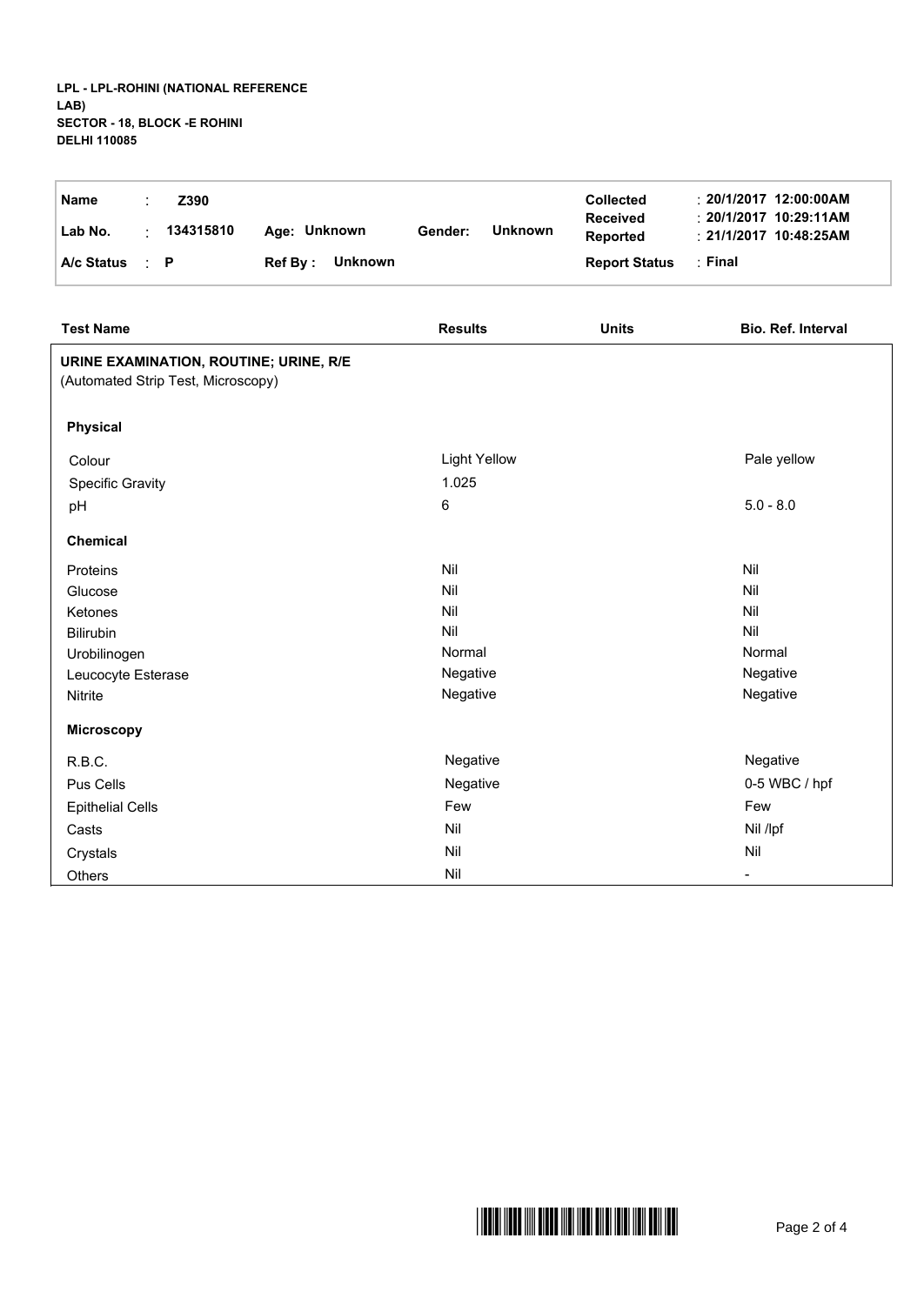## **LPL - LPL-ROHINI (NATIONAL REFERENCE LAB) SECTOR - 18, BLOCK -E ROHINI DELHI 110085**

| <b>Name</b> |           | Z390      |                 |         |                | <b>Collected</b>                   | $\div$ 20/1/2017 12:00:00AM                                |
|-------------|-----------|-----------|-----------------|---------|----------------|------------------------------------|------------------------------------------------------------|
| Lab No.     |           | 134315810 | Age: Unknown    | Gender: | <b>Unknown</b> | <b>Received</b><br><b>Reported</b> | $\div$ 20/1/2017 10:29:11AM<br>$\div$ 21/1/2017 10:48:25AM |
| A/c Status  | $\cdot$ P |           | Ref By: Unknown |         |                | <b>Report Status</b>               | :Final                                                     |

| <b>Test Name</b>                                                             | <b>Results</b>      | <b>Units</b> | Bio. Ref. Interval |
|------------------------------------------------------------------------------|---------------------|--------------|--------------------|
| URINE EXAMINATION, ROUTINE; URINE, R/E<br>(Automated Strip Test, Microscopy) |                     |              |                    |
| <b>Physical</b>                                                              |                     |              |                    |
| Colour                                                                       | <b>Light Yellow</b> |              | Pale yellow        |
| Specific Gravity                                                             | 1.025               |              |                    |
| pH                                                                           | 6                   |              | $5.0 - 8.0$        |
| Chemical                                                                     |                     |              |                    |
| Proteins                                                                     | Nil                 |              | Nil                |
| Glucose                                                                      | Nil                 |              | Nil                |
| Ketones                                                                      | Nil                 |              | Nil                |
| Bilirubin                                                                    | Nil                 |              | Nil                |
| Urobilinogen                                                                 | Normal              |              | Normal             |
| Leucocyte Esterase                                                           | Negative            |              | Negative           |
| <b>Nitrite</b>                                                               | Negative            |              | Negative           |
| <b>Microscopy</b>                                                            |                     |              |                    |
| R.B.C.                                                                       | Negative            |              | Negative           |
| Pus Cells                                                                    | Negative            |              | 0-5 WBC / hpf      |
| <b>Epithelial Cells</b>                                                      | Few                 |              | Few                |
| Casts                                                                        | Nil                 |              | Nil /lpf           |
| Crystals                                                                     | Nil                 |              | Nil                |
| <b>Others</b>                                                                | Nil                 |              |                    |

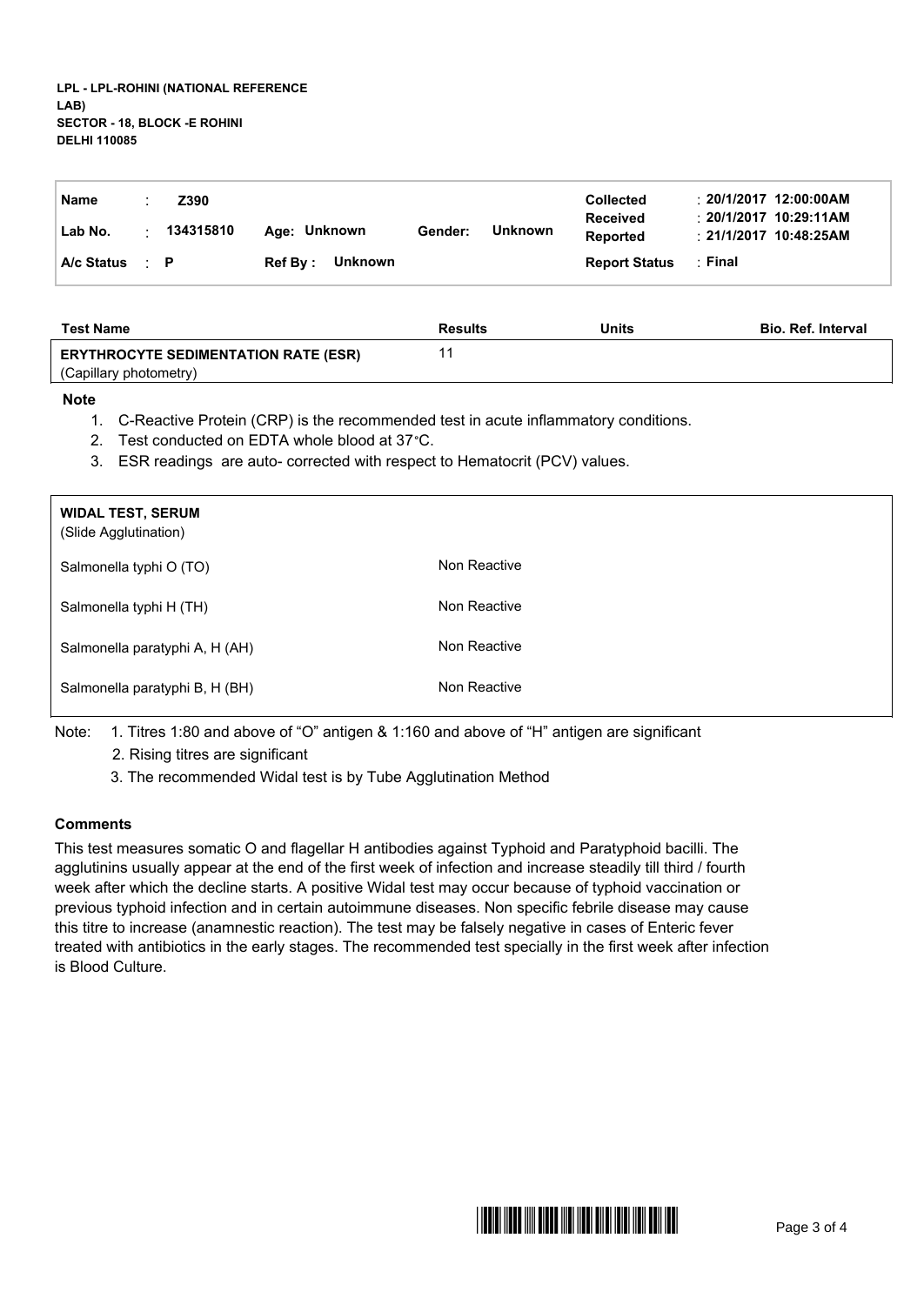| Name                   | Z390      |                 |         |         | <b>Collected</b>            | $\pm 20/1/2017$ 12:00:00AM                                |
|------------------------|-----------|-----------------|---------|---------|-----------------------------|-----------------------------------------------------------|
| Lab No.                | 134315810 | Age: Unknown    | Gender: | Unknown | <b>Received</b><br>Reported | $\pm$ 20/1/2017 10:29:11AM<br>$\div$ 21/1/2017 10:48:25AM |
| $A/c$ Status $\cdot$ P |           | Ref By: Unknown |         |         | <b>Report Status</b>        | :Final                                                    |

| <b>Test Name</b>                            | <b>Results</b> | <b>Units</b> | <b>Bio. Ref. Interval</b> |
|---------------------------------------------|----------------|--------------|---------------------------|
| <b>ERYTHROCYTE SEDIMENTATION RATE (ESR)</b> |                |              |                           |
| (Capillary photometry)                      |                |              |                           |

## **Note**

- 1. C-Reactive Protein (CRP) is the recommended test in acute inflammatory conditions.
- 2. Test conducted on EDTA whole blood at 37°C.
- 3. ESR readings are auto- corrected with respect to Hematocrit (PCV) values.

| <b>WIDAL TEST, SERUM</b><br>(Slide Agglutination) |              |
|---------------------------------------------------|--------------|
| Salmonella typhi O (TO)                           | Non Reactive |
| Salmonella typhi H (TH)                           | Non Reactive |
| Salmonella paratyphi A, H (AH)                    | Non Reactive |
| Salmonella paratyphi B, H (BH)                    | Non Reactive |

Note: 1. Titres 1:80 and above of "O" antigen & 1:160 and above of "H" antigen are significant

2. Rising titres are significant

3. The recommended Widal test is by Tube Agglutination Method

## **Comments**

This test measures somatic O and flagellar H antibodies against Typhoid and Paratyphoid bacilli. The agglutinins usually appear at the end of the first week of infection and increase steadily till third / fourth week after which the decline starts. A positive Widal test may occur because of typhoid vaccination or previous typhoid infection and in certain autoimmune diseases. Non specific febrile disease may cause this titre to increase (anamnestic reaction). The test may be falsely negative in cases of Enteric fever treated with antibiotics in the early stages. The recommended test specially in the first week after infection is Blood Culture.